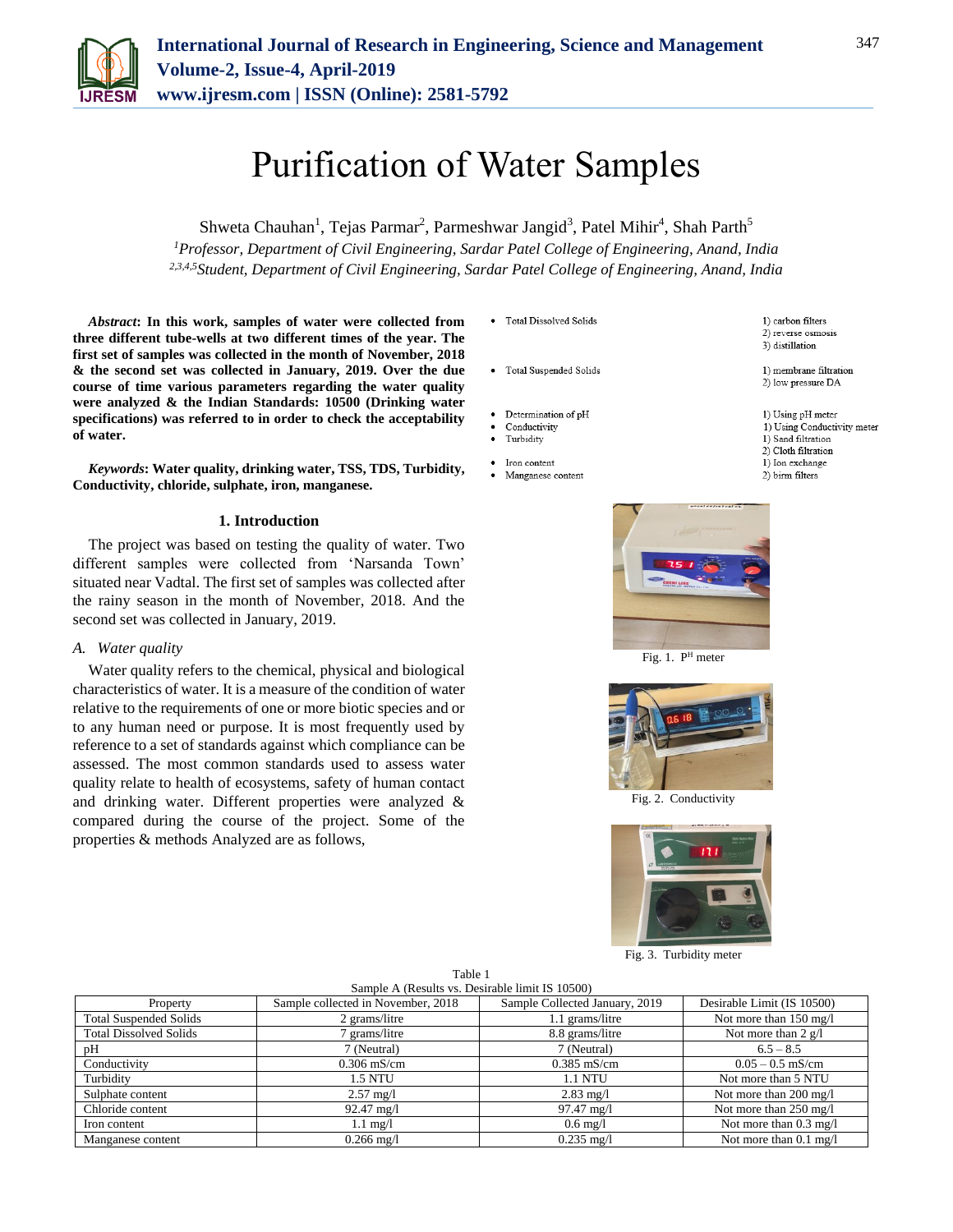

# Purification of Water Samples

Shweta Chauhan<sup>1</sup>, Tejas Parmar<sup>2</sup>, Parmeshwar Jangid<sup>3</sup>, Patel Mihir<sup>4</sup>, Shah Parth<sup>5</sup> *<sup>1</sup>Professor, Department of Civil Engineering, Sardar Patel College of Engineering, Anand, India 2,3,4,5Student, Department of Civil Engineering, Sardar Patel College of Engineering, Anand, India*

*Abstract***: In this work, samples of water were collected from three different tube-wells at two different times of the year. The first set of samples was collected in the month of November, 2018 & the second set was collected in January, 2019. Over the due course of time various parameters regarding the water quality were analyzed & the Indian Standards: 10500 (Drinking water specifications) was referred to in order to check the acceptability of water.** 

*Keywords***: Water quality, drinking water, TSS, TDS, Turbidity, Conductivity, chloride, sulphate, iron, manganese.**

#### **1. Introduction**

The project was based on testing the quality of water. Two different samples were collected from 'Narsanda Town' situated near Vadtal. The first set of samples was collected after the rainy season in the month of November, 2018. And the second set was collected in January, 2019.

#### *A. Water quality*

Water quality refers to the chemical, physical and biological characteristics of water. It is a measure of the condition of water relative to the requirements of one or more biotic species and or to any human need or purpose. It is most frequently used by reference to a set of standards against which compliance can be assessed. The most common standards used to assess water quality relate to health of ecosystems, safety of human contact and drinking water. Different properties were analyzed & compared during the course of the project. Some of the properties & methods Analyzed are as follows,

• Total Dissolved Solids

- Total Suspended Solids
- 
- Determination of pH Conductivity
- Turbidity
- Iron content
- Manganese content



Fig. 1. P<sup>H</sup> meter





Fig. 3. Turbidity meter

| Table 1                                         |  |  |  |  |  |
|-------------------------------------------------|--|--|--|--|--|
| Sample A (Results vs. Desirable limit IS 10500) |  |  |  |  |  |

| Property                      | Sample collected in November, 2018 | Sample Collected January, 2019 | Desirable Limit (IS 10500) |
|-------------------------------|------------------------------------|--------------------------------|----------------------------|
| <b>Total Suspended Solids</b> | 2 grams/litre                      | 1.1 grams/litre                | Not more than 150 mg/l     |
| <b>Total Dissolved Solids</b> | grams/litre                        | 8.8 grams/litre                | Not more than 2 $g/l$      |
| рH                            | 7 (Neutral)                        | 7 (Neutral)                    | $6.5 - 8.5$                |
| Conductivity                  | $0.306$ mS/cm                      | $0.385$ mS/cm                  | $0.05 - 0.5$ mS/cm         |
| Turbidity                     | <b>1.5 NTU</b>                     | <b>1.1 NTU</b>                 | Not more than 5 NTU        |
| Sulphate content              | $2.57 \text{ mg}/1$                | $2.83 \text{ mg}/1$            | Not more than 200 mg/l     |
| Chloride content              | $92.47 \text{ mg}/1$               | $97.47 \text{ mg}/1$           | Not more than 250 mg/l     |
| Iron content                  | $1.1 \text{ mg}/1$                 | $0.6 \text{ mg}/l$             | Not more than 0.3 mg/l     |
| Manganese content             | $0.266$ mg/l                       | $0.235$ mg/l                   | Not more than 0.1 mg/l     |

1) carbon filters 2) reverse osmosis

3) distillation

- 1) membrane filtration 2) low pressure DA
- 1) Using pH meter
- 1) Using Conductivity meter
- 1) Sand filtration
- 2) Cloth filtration 1) Ion exchange
- 2) birm filters

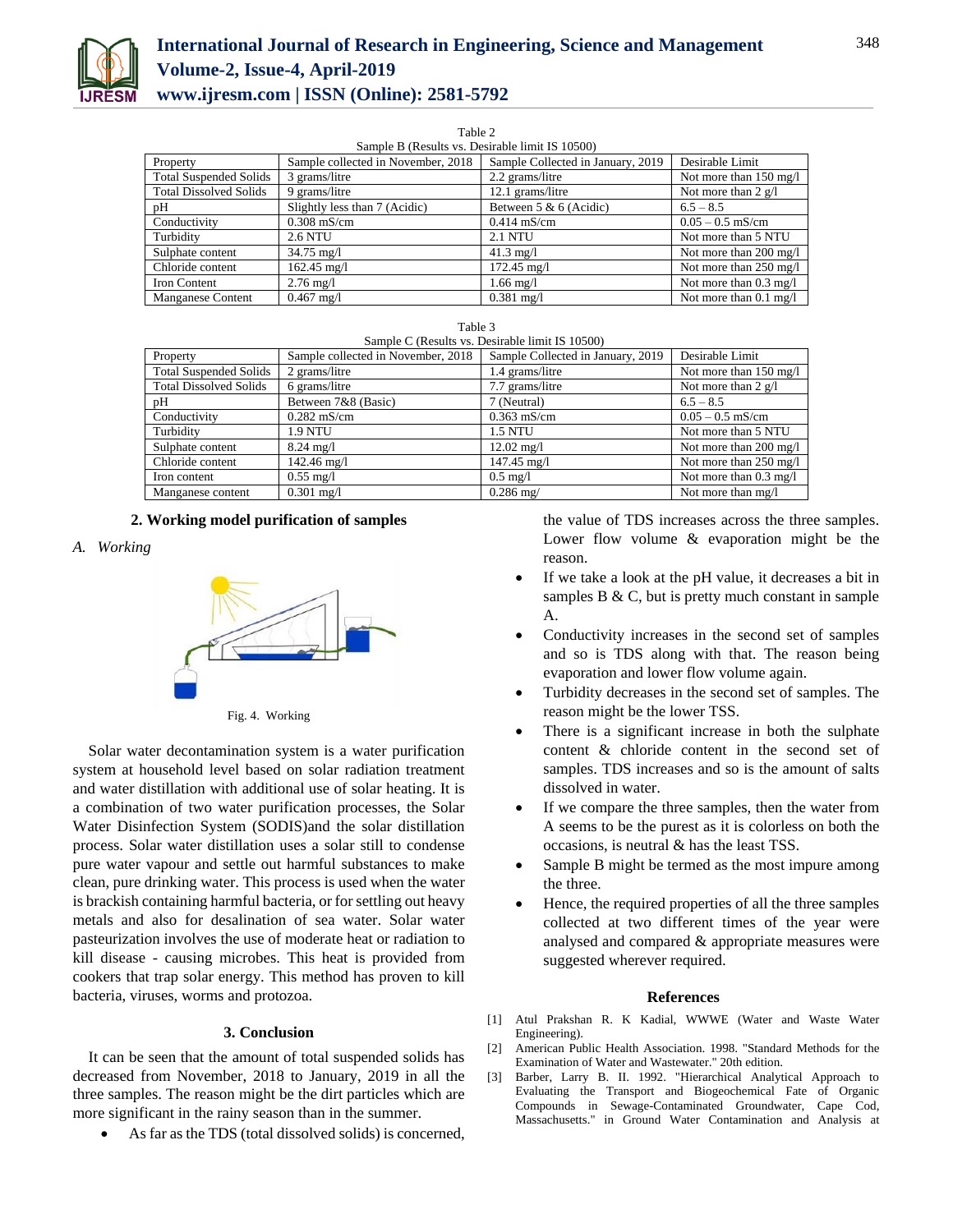

# **International Journal of Research in Engineering, Science and Management Volume-2, Issue-4, April-2019**

**www.ijresm.com | ISSN (Online): 2581-5792** 

Table 2

| Sample B (Results vs. Desirable limit IS 10500) |                                    |                                   |                                  |  |
|-------------------------------------------------|------------------------------------|-----------------------------------|----------------------------------|--|
| Property                                        | Sample collected in November, 2018 | Sample Collected in January, 2019 | Desirable Limit                  |  |
| <b>Total Suspended Solids</b>                   | 3 grams/litre                      | 2.2 grams/litre                   | Not more than $150 \text{ mg/l}$ |  |
| <b>Total Dissolved Solids</b>                   | 9 grams/litre                      | 12.1 grams/litre                  | Not more than 2 $g/l$            |  |
| pH                                              | Slightly less than 7 (Acidic)      | Between $5 & 6$ (Acidic)          | $6.5 - 8.5$                      |  |
| Conductivity                                    | $0.308$ mS/cm                      | $0.414$ mS/cm                     | $0.05 - 0.5$ mS/cm               |  |
| Turbidity                                       | <b>2.6 NTU</b>                     | <b>2.1 NTU</b>                    | Not more than 5 NTU              |  |
| Sulphate content                                | $34.75 \text{ mg}/1$               | $41.3 \text{ me}/1$               | Not more than $200 \text{ mg/l}$ |  |
| Chloride content                                | $162.45 \text{ mg/l}$              | $172.45 \text{ mg}/1$             | Not more than 250 mg/l           |  |
| Iron Content                                    | $2.76 \,\mathrm{mg}/l$             | $1.66 \text{ mg}/l$               | Not more than $0.3 \text{ mg}/1$ |  |
| <b>Manganese Content</b>                        | $0.467$ mg/l                       | $0.381$ mg/l                      | Not more than $0.1 \text{ mg}/1$ |  |

| Table 3                                         |  |  |  |  |  |
|-------------------------------------------------|--|--|--|--|--|
| Sample C (Results vs. Desirable limit IS 10500) |  |  |  |  |  |
|                                                 |  |  |  |  |  |

| Property                      | Sample collected in November, 2018 | Sample Collected in January, 2019 | Desirable Limit        |
|-------------------------------|------------------------------------|-----------------------------------|------------------------|
| <b>Total Suspended Solids</b> | 2 grams/litre                      | 1.4 grams/litre                   | Not more than 150 mg/l |
| <b>Total Dissolved Solids</b> | 6 grams/litre                      | 7.7 grams/litre                   | Not more than 2 $g/l$  |
| pH                            | Between 7&8 (Basic)                | 7 (Neutral)                       | $6.5 - 8.5$            |
| Conductivity                  | $0.282$ mS/cm                      | $0.363$ mS/cm                     | $0.05 - 0.5$ mS/cm     |
| Turbidity                     | 1.9 NTU                            | <b>1.5 NTU</b>                    | Not more than 5 NTU    |
| Sulphate content              | $8.24 \text{ mg}/1$                | $12.02 \text{ mg}/1$              | Not more than 200 mg/l |
| Chloride content              | $142.46 \text{ mg}/1$              | $147.45 \text{ mg}/1$             | Not more than 250 mg/l |
| Iron content                  | $0.55 \text{ mg}/1$                | $0.5 \text{ mg}/1$                | Not more than 0.3 mg/l |
| Manganese content             | $0.301 \text{ mg}/1$               | $0.286 \text{ mg}$                | Not more than mg/l     |

## **2. Working model purification of samples**

### *A. Working*



Fig. 4. Working

Solar water decontamination system is a water purification system at household level based on solar radiation treatment and water distillation with additional use of solar heating. It is a combination of two water purification processes, the Solar Water Disinfection System (SODIS)and the solar distillation process. Solar water distillation uses a solar still to condense pure water vapour and settle out harmful substances to make clean, pure drinking water. This process is used when the water is brackish containing harmful bacteria, or for settling out heavy metals and also for desalination of sea water. Solar water pasteurization involves the use of moderate heat or radiation to kill disease - causing microbes. This heat is provided from cookers that trap solar energy. This method has proven to kill bacteria, viruses, worms and protozoa.

#### **3. Conclusion**

It can be seen that the amount of total suspended solids has decreased from November, 2018 to January, 2019 in all the three samples. The reason might be the dirt particles which are more significant in the rainy season than in the summer.

As far as the TDS (total dissolved solids) is concerned,

the value of TDS increases across the three samples. Lower flow volume & evaporation might be the reason.

- If we take a look at the pH value, it decreases a bit in samples B & C, but is pretty much constant in sample A.
- Conductivity increases in the second set of samples and so is TDS along with that. The reason being evaporation and lower flow volume again.
- Turbidity decreases in the second set of samples. The reason might be the lower TSS.
- There is a significant increase in both the sulphate content & chloride content in the second set of samples. TDS increases and so is the amount of salts dissolved in water.
- If we compare the three samples, then the water from A seems to be the purest as it is colorless on both the occasions, is neutral & has the least TSS.
- Sample B might be termed as the most impure among the three.
- Hence, the required properties of all the three samples collected at two different times of the year were analysed and compared & appropriate measures were suggested wherever required.

#### **References**

- [1] Atul Prakshan R. K Kadial, WWWE (Water and Waste Water Engineering).
- [2] American Public Health Association. 1998. "Standard Methods for the Examination of Water and Wastewater." 20th edition.
- [3] Barber, Larry B. II. 1992. "Hierarchical Analytical Approach to Evaluating the Transport and Biogeochemical Fate of Organic Compounds in Sewage-Contaminated Groundwater, Cape Cod, Massachusetts." in Ground Water Contamination and Analysis at